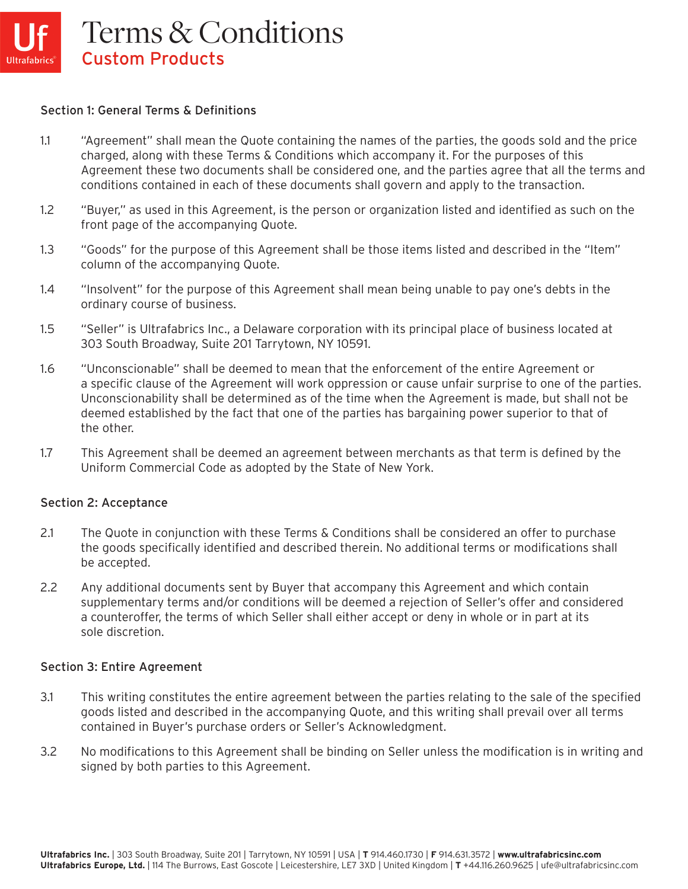#### Section 1: General Terms & Definitions

- 1.1 "Agreement" shall mean the Quote containing the names of the parties, the goods sold and the price charged, along with these Terms & Conditions which accompany it. For the purposes of this Agreement these two documents shall be considered one, and the parties agree that all the terms and conditions contained in each of these documents shall govern and apply to the transaction.
- 1.2 "Buyer," as used in this Agreement, is the person or organization listed and identified as such on the front page of the accompanying Quote.
- 1.3 "Goods" for the purpose of this Agreement shall be those items listed and described in the "Item" column of the accompanying Quote.
- 1.4 "Insolvent" for the purpose of this Agreement shall mean being unable to pay one's debts in the ordinary course of business.
- 1.5 "Seller" is Ultrafabrics Inc., a Delaware corporation with its principal place of business located at 303 South Broadway, Suite 201 Tarrytown, NY 10591.
- 1.6 "Unconscionable" shall be deemed to mean that the enforcement of the entire Agreement or a specific clause of the Agreement will work oppression or cause unfair surprise to one of the parties. Unconscionability shall be determined as of the time when the Agreement is made, but shall not be deemed established by the fact that one of the parties has bargaining power superior to that of the other.
- 1.7 This Agreement shall be deemed an agreement between merchants as that term is defined by the Uniform Commercial Code as adopted by the State of New York.

#### Section 2: Acceptance

- 2.1 The Quote in conjunction with these Terms & Conditions shall be considered an offer to purchase the goods specifically identified and described therein. No additional terms or modifications shall be accepted.
- 2.2 Any additional documents sent by Buyer that accompany this Agreement and which contain supplementary terms and/or conditions will be deemed a rejection of Seller's offer and considered a counteroffer, the terms of which Seller shall either accept or deny in whole or in part at its sole discretion.

#### Section 3: Entire Agreement

- 3.1 This writing constitutes the entire agreement between the parties relating to the sale of the specified goods listed and described in the accompanying Quote, and this writing shall prevail over all terms contained in Buyer's purchase orders or Seller's Acknowledgment.
- 3.2 No modifications to this Agreement shall be binding on Seller unless the modification is in writing and signed by both parties to this Agreement.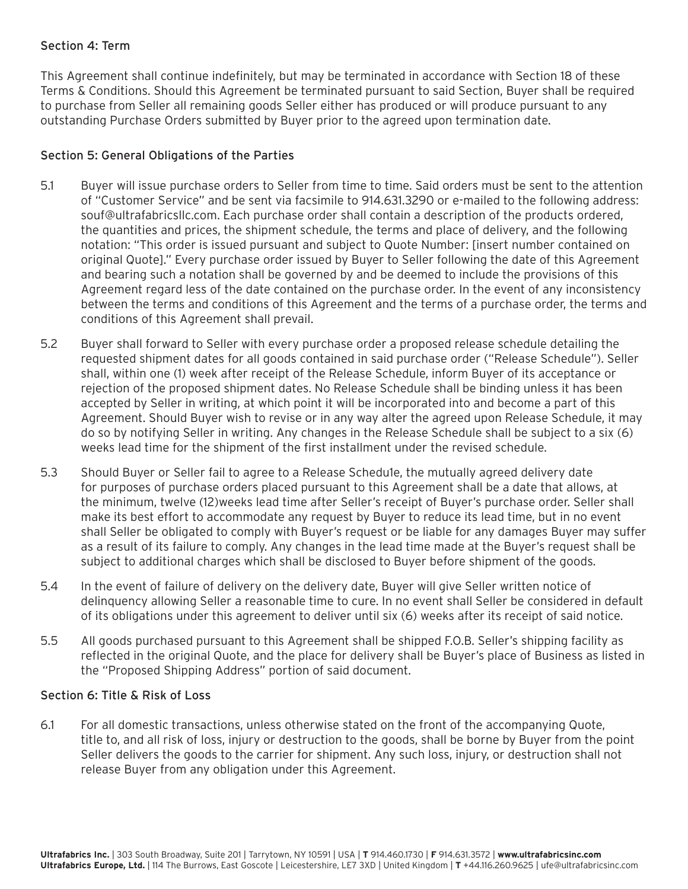## Section 4: Term

This Agreement shall continue indefinitely, but may be terminated in accordance with Section 18 of these Terms & Conditions. Should this Agreement be terminated pursuant to said Section, Buyer shall be required to purchase from Seller all remaining goods Seller either has produced or will produce pursuant to any outstanding Purchase Orders submitted by Buyer prior to the agreed upon termination date.

### Section 5: General Obligations of the Parties

- 5.1 Buyer will issue purchase orders to Seller from time to time. Said orders must be sent to the attention of "Customer Service" and be sent via facsimile to 914.631.3290 or e-mailed to the following address: souf@ultrafabricsllc.com. Each purchase order shall contain a description of the products ordered, the quantities and prices, the shipment schedule, the terms and place of delivery, and the following notation: "This order is issued pursuant and subject to Quote Number: [insert number contained on original Quote]." Every purchase order issued by Buyer to Seller following the date of this Agreement and bearing such a notation shall be governed by and be deemed to include the provisions of this Agreement regard less of the date contained on the purchase order. In the event of any inconsistency between the terms and conditions of this Agreement and the terms of a purchase order, the terms and conditions of this Agreement shall prevail.
- 5.2 Buyer shall forward to Seller with every purchase order a proposed release schedule detailing the requested shipment dates for all goods contained in said purchase order ("Release Schedule"). Seller shall, within one (1) week after receipt of the Release Schedule, inform Buyer of its acceptance or rejection of the proposed shipment dates. No Release Schedule shall be binding unless it has been accepted by Seller in writing, at which point it will be incorporated into and become a part of this Agreement. Should Buyer wish to revise or in any way alter the agreed upon Release Schedule, it may do so by notifying Seller in writing. Any changes in the Release Schedule shall be subject to a six (6) weeks lead time for the shipment of the first installment under the revised schedule.
- 5.3 Should Buyer or Seller fail to agree to a Release Schedu1e, the mutually agreed delivery date for purposes of purchase orders placed pursuant to this Agreement shall be a date that allows, at the minimum, twelve (12)weeks lead time after Seller's receipt of Buyer's purchase order. Seller shall make its best effort to accommodate any request by Buyer to reduce its lead time, but in no event shall Seller be obligated to comply with Buyer's request or be liable for any damages Buyer may suffer as a result of its failure to comply. Any changes in the lead time made at the Buyer's request shall be subject to additional charges which shall be disclosed to Buyer before shipment of the goods.
- 5.4 In the event of failure of delivery on the delivery date, Buyer will give Seller written notice of delinquency allowing Seller a reasonable time to cure. In no event shall Seller be considered in default of its obligations under this agreement to deliver until six (6) weeks after its receipt of said notice.
- 5.5 All goods purchased pursuant to this Agreement shall be shipped F.O.B. Seller's shipping facility as reflected in the original Quote, and the place for delivery shall be Buyer's place of Business as listed in the "Proposed Shipping Address" portion of said document.

### Section 6: Title & Risk of Loss

6.1 For all domestic transactions, unless otherwise stated on the front of the accompanying Quote, title to, and all risk of loss, injury or destruction to the goods, shall be borne by Buyer from the point Seller delivers the goods to the carrier for shipment. Any such loss, injury, or destruction shall not release Buyer from any obligation under this Agreement.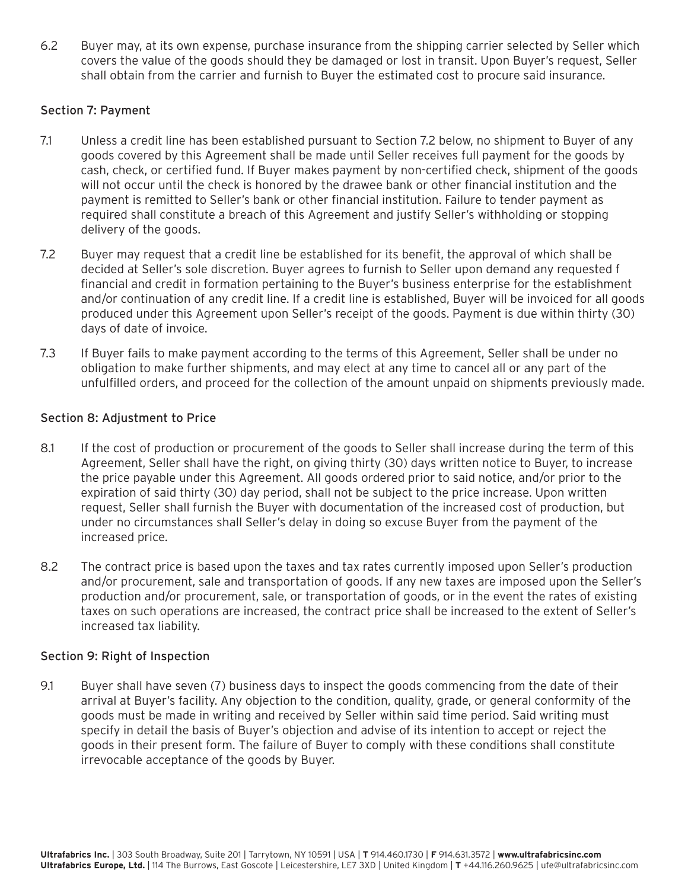6.2 Buyer may, at its own expense, purchase insurance from the shipping carrier selected by Seller which covers the value of the goods should they be damaged or lost in transit. Upon Buyer's request, Seller shall obtain from the carrier and furnish to Buyer the estimated cost to procure said insurance.

## Section 7: Payment

- 7.1 Unless a credit line has been established pursuant to Section 7.2 below, no shipment to Buyer of any goods covered by this Agreement shall be made until Seller receives full payment for the goods by cash, check, or certified fund. If Buyer makes payment by non-certified check, shipment of the goods will not occur until the check is honored by the drawee bank or other financial institution and the payment is remitted to Seller's bank or other financial institution. Failure to tender payment as required shall constitute a breach of this Agreement and justify Seller's withholding or stopping delivery of the goods.
- 7.2 Buyer may request that a credit line be established for its benefit, the approval of which shall be decided at Seller's sole discretion. Buyer agrees to furnish to Seller upon demand any requested f financial and credit in formation pertaining to the Buyer's business enterprise for the establishment and/or continuation of any credit line. If a credit line is established, Buyer will be invoiced for all goods produced under this Agreement upon Seller's receipt of the goods. Payment is due within thirty (30) days of date of invoice.
- 7.3 If Buyer fails to make payment according to the terms of this Agreement, Seller shall be under no obligation to make further shipments, and may elect at any time to cancel all or any part of the unfulfilled orders, and proceed for the collection of the amount unpaid on shipments previously made.

### Section 8: Adjustment to Price

- 8.1 If the cost of production or procurement of the goods to Seller shall increase during the term of this Agreement, Seller shall have the right, on giving thirty (30) days written notice to Buyer, to increase the price payable under this Agreement. All goods ordered prior to said notice, and/or prior to the expiration of said thirty (30) day period, shall not be subject to the price increase. Upon written request, Seller shall furnish the Buyer with documentation of the increased cost of production, but under no circumstances shall Seller's delay in doing so excuse Buyer from the payment of the increased price.
- 8.2 The contract price is based upon the taxes and tax rates currently imposed upon Seller's production and/or procurement, sale and transportation of goods. If any new taxes are imposed upon the Seller's production and/or procurement, sale, or transportation of goods, or in the event the rates of existing taxes on such operations are increased, the contract price shall be increased to the extent of Seller's increased tax liability.

### Section 9: Right of Inspection

9.1 Buyer shall have seven (7) business days to inspect the goods commencing from the date of their arrival at Buyer's facility. Any objection to the condition, quality, grade, or general conformity of the goods must be made in writing and received by Seller within said time period. Said writing must specify in detail the basis of Buyer's objection and advise of its intention to accept or reject the goods in their present form. The failure of Buyer to comply with these conditions shall constitute irrevocable acceptance of the goods by Buyer.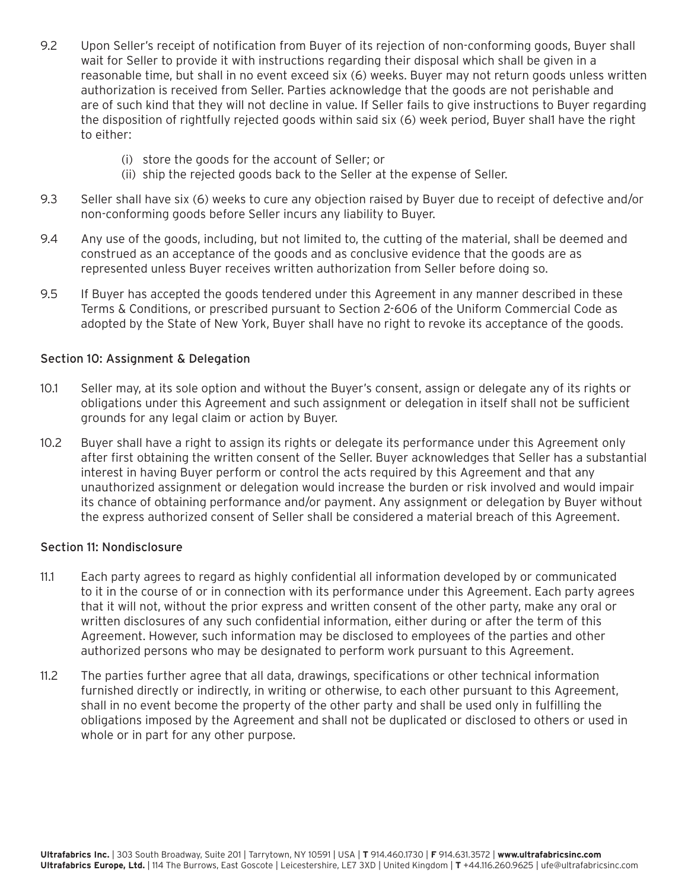- 9.2 Upon Seller's receipt of notification from Buyer of its rejection of non-conforming goods, Buyer shall wait for Seller to provide it with instructions regarding their disposal which shall be given in a reasonable time, but shall in no event exceed six (6) weeks. Buyer may not return goods unless written authorization is received from Seller. Parties acknowledge that the goods are not perishable and are of such kind that they will not decline in value. If Seller fails to give instructions to Buyer regarding the disposition of rightfully rejected goods within said six (6) week period, Buyer shal1 have the right to either:
	- (i) store the goods for the account of Seller; or
	- (ii) ship the rejected goods back to the Seller at the expense of Seller.
- 9.3 Seller shall have six (6) weeks to cure any objection raised by Buyer due to receipt of defective and/or non-conforming goods before Seller incurs any liability to Buyer.
- 9.4 Any use of the goods, including, but not limited to, the cutting of the material, shall be deemed and construed as an acceptance of the goods and as conclusive evidence that the goods are as represented unless Buyer receives written authorization from Seller before doing so.
- 9.5 If Buyer has accepted the goods tendered under this Agreement in any manner described in these Terms & Conditions, or prescribed pursuant to Section 2-606 of the Uniform Commercial Code as adopted by the State of New York, Buyer shall have no right to revoke its acceptance of the goods.

## Section 10: Assignment & Delegation

- 10.1 Seller may, at its sole option and without the Buyer's consent, assign or delegate any of its rights or obligations under this Agreement and such assignment or delegation in itself shall not be sufficient grounds for any legal claim or action by Buyer.
- 10.2 Buyer shall have a right to assign its rights or delegate its performance under this Agreement only after first obtaining the written consent of the Seller. Buyer acknowledges that Seller has a substantial interest in having Buyer perform or control the acts required by this Agreement and that any unauthorized assignment or delegation would increase the burden or risk involved and would impair its chance of obtaining performance and/or payment. Any assignment or delegation by Buyer without the express authorized consent of Seller shall be considered a material breach of this Agreement.

### Section 11: Nondisclosure

- 11.1 Each party agrees to regard as highly confidential all information developed by or communicated to it in the course of or in connection with its performance under this Agreement. Each party agrees that it will not, without the prior express and written consent of the other party, make any oral or written disclosures of any such confidential information, either during or after the term of this Agreement. However, such information may be disclosed to employees of the parties and other authorized persons who may be designated to perform work pursuant to this Agreement.
- 11.2 The parties further agree that all data, drawings, specifications or other technical information furnished directly or indirectly, in writing or otherwise, to each other pursuant to this Agreement, shall in no event become the property of the other party and shall be used only in fulfilling the obligations imposed by the Agreement and shall not be duplicated or disclosed to others or used in whole or in part for any other purpose.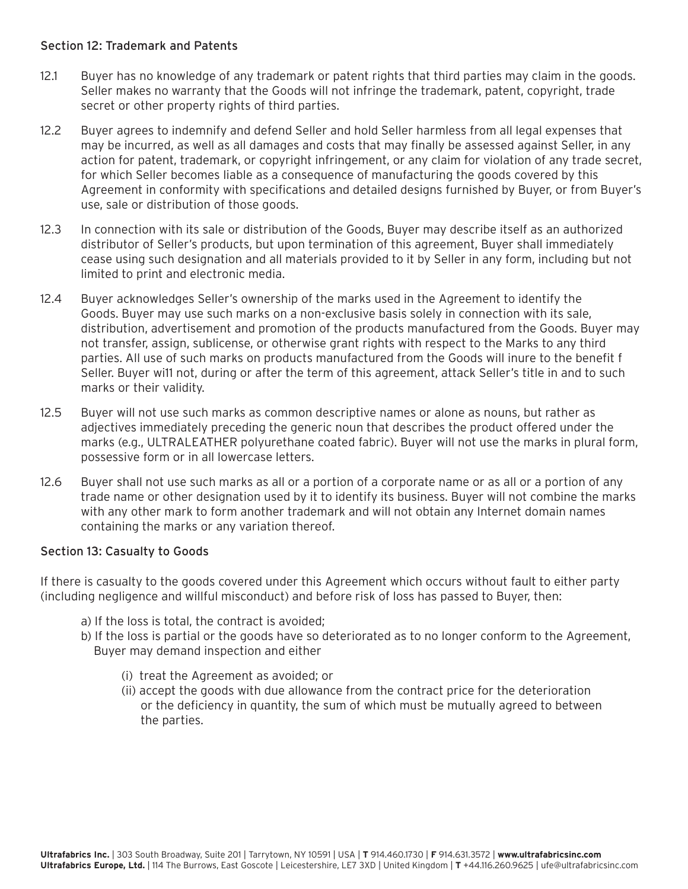## Section 12: Trademark and Patents

- 12.1 Buyer has no knowledge of any trademark or patent rights that third parties may claim in the goods. Seller makes no warranty that the Goods will not infringe the trademark, patent, copyright, trade secret or other property rights of third parties.
- 12.2 Buyer agrees to indemnify and defend Seller and hold Seller harmless from all legal expenses that may be incurred, as well as all damages and costs that may finally be assessed against Seller, in any action for patent, trademark, or copyright infringement, or any claim for violation of any trade secret, for which Seller becomes liable as a consequence of manufacturing the goods covered by this Agreement in conformity with specifications and detailed designs furnished by Buyer, or from Buyer's use, sale or distribution of those goods.
- 12.3 In connection with its sale or distribution of the Goods, Buyer may describe itself as an authorized distributor of Seller's products, but upon termination of this agreement, Buyer shall immediately cease using such designation and all materials provided to it by Seller in any form, including but not limited to print and electronic media.
- 12.4 Buyer acknowledges Seller's ownership of the marks used in the Agreement to identify the Goods. Buyer may use such marks on a non-exclusive basis solely in connection with its sale, distribution, advertisement and promotion of the products manufactured from the Goods. Buyer may not transfer, assign, sublicense, or otherwise grant rights with respect to the Marks to any third parties. All use of such marks on products manufactured from the Goods will inure to the benefit f Seller. Buyer will not, during or after the term of this agreement, attack Seller's title in and to such marks or their validity.
- 12.5 Buyer will not use such marks as common descriptive names or alone as nouns, but rather as adjectives immediately preceding the generic noun that describes the product offered under the marks (e.g., ULTRALEATHER polyurethane coated fabric). Buyer will not use the marks in plural form, possessive form or in all lowercase letters.
- 12.6 Buyer shall not use such marks as all or a portion of a corporate name or as all or a portion of any trade name or other designation used by it to identify its business. Buyer will not combine the marks with any other mark to form another trademark and will not obtain any Internet domain names containing the marks or any variation thereof.

### Section 13: Casualty to Goods

If there is casualty to the goods covered under this Agreement which occurs without fault to either party (including negligence and willful misconduct) and before risk of loss has passed to Buyer, then:

- a) If the loss is total, the contract is avoided;
- b) If the loss is partial or the goods have so deteriorated as to no longer conform to the Agreement, Buyer may demand inspection and either
	- (i) treat the Agreement as avoided; or
	- (ii) accept the goods with due allowance from the contract price for the deterioration or the deficiency in quantity, the sum of which must be mutually agreed to between the parties.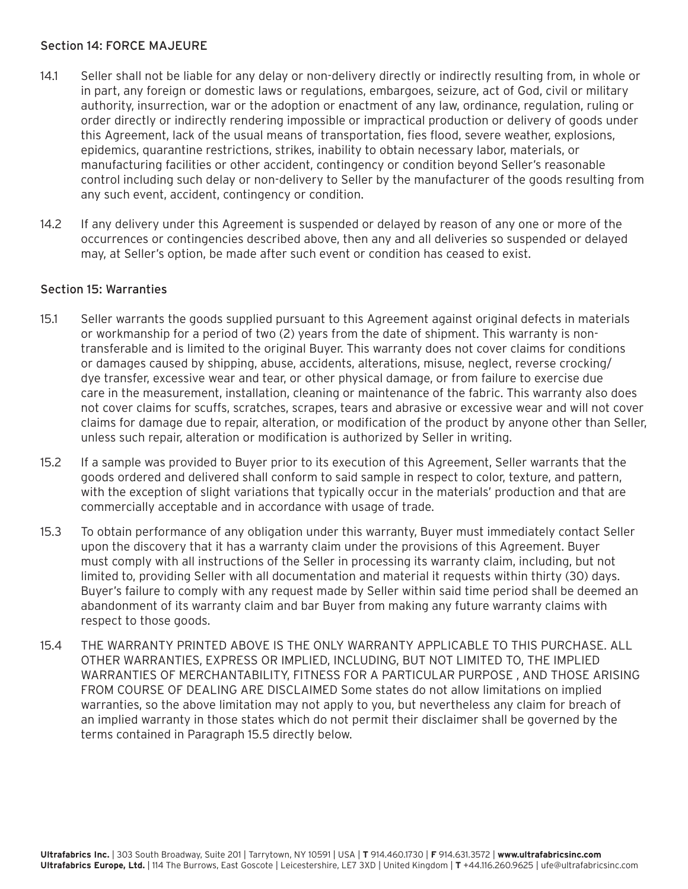### Section 14: FORCE MAJEURE

- 14.1 Seller shall not be liable for any delay or non-delivery directly or indirectly resulting from, in whole or in part, any foreign or domestic laws or regulations, embargoes, seizure, act of God, civil or military authority, insurrection, war or the adoption or enactment of any law, ordinance, regulation, ruling or order directly or indirectly rendering impossible or impractical production or delivery of goods under this Agreement, lack of the usual means of transportation, fies flood, severe weather, explosions, epidemics, quarantine restrictions, strikes, inability to obtain necessary labor, materials, or manufacturing facilities or other accident, contingency or condition beyond Seller's reasonable control including such delay or non-delivery to Seller by the manufacturer of the goods resulting from any such event, accident, contingency or condition.
- 14.2 If any delivery under this Agreement is suspended or delayed by reason of any one or more of the occurrences or contingencies described above, then any and all deliveries so suspended or delayed may, at Seller's option, be made after such event or condition has ceased to exist.

### Section 15: Warranties

- 15.1 Seller warrants the goods supplied pursuant to this Agreement against original defects in materials or workmanship for a period of two (2) years from the date of shipment. This warranty is nontransferable and is limited to the original Buyer. This warranty does not cover claims for conditions or damages caused by shipping, abuse, accidents, alterations, misuse, neglect, reverse crocking/ dye transfer, excessive wear and tear, or other physical damage, or from failure to exercise due care in the measurement, installation, cleaning or maintenance of the fabric. This warranty also does not cover claims for scuffs, scratches, scrapes, tears and abrasive or excessive wear and will not cover claims for damage due to repair, alteration, or modification of the product by anyone other than Seller, unless such repair, alteration or modification is authorized by Seller in writing.
- 15.2 If a sample was provided to Buyer prior to its execution of this Agreement, Seller warrants that the goods ordered and delivered shall conform to said sample in respect to color, texture, and pattern, with the exception of slight variations that typically occur in the materials' production and that are commercially acceptable and in accordance with usage of trade.
- 15.3 To obtain performance of any obligation under this warranty, Buyer must immediately contact Seller upon the discovery that it has a warranty claim under the provisions of this Agreement. Buyer must comply with all instructions of the Seller in processing its warranty claim, including, but not limited to, providing Seller with all documentation and material it requests within thirty (30) days. Buyer's failure to comply with any request made by Seller within said time period shall be deemed an abandonment of its warranty claim and bar Buyer from making any future warranty claims with respect to those goods.
- 15.4 THE WARRANTY PRINTED ABOVE IS THE ONLY WARRANTY APPLICABLE TO THIS PURCHASE. ALL OTHER WARRANTIES, EXPRESS OR IMPLIED, INCLUDING, BUT NOT LIMITED TO, THE IMPLIED WARRANTIES OF MERCHANTABILITY, FITNESS FOR A PARTICULAR PURPOSE , AND THOSE ARISING FROM COURSE OF DEALING ARE DISCLAIMED Some states do not allow limitations on implied warranties, so the above limitation may not apply to you, but nevertheless any claim for breach of an implied warranty in those states which do not permit their disclaimer shall be governed by the terms contained in Paragraph 15.5 directly below.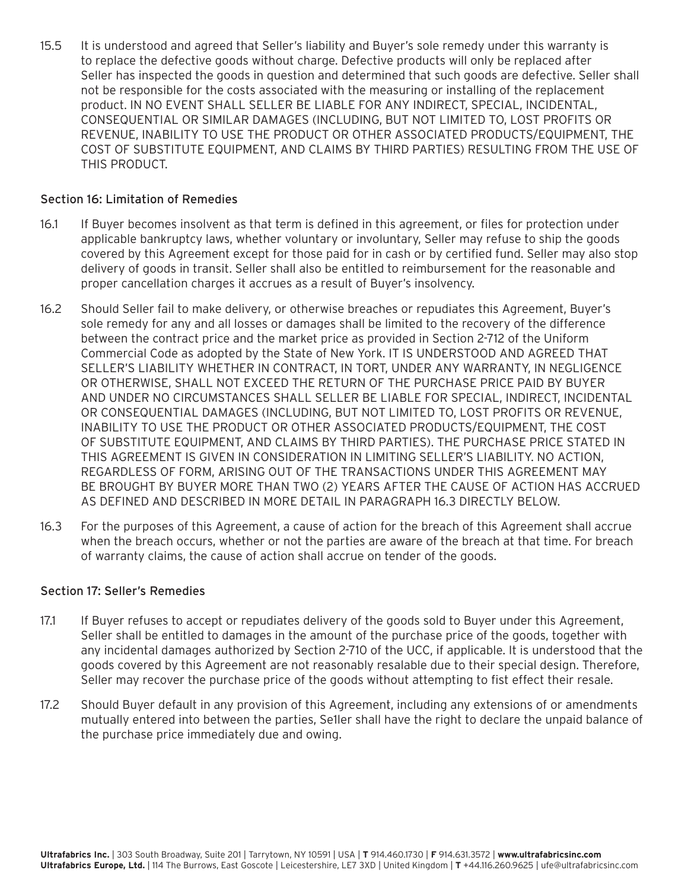15.5 It is understood and agreed that Seller's liability and Buyer's sole remedy under this warranty is to replace the defective goods without charge. Defective products will only be replaced after Seller has inspected the goods in question and determined that such goods are defective. Seller shall not be responsible for the costs associated with the measuring or installing of the replacement product. IN NO EVENT SHALL SELLER BE LIABLE FOR ANY INDIRECT, SPECIAL, INCIDENTAL, CONSEQUENTIAL OR SIMILAR DAMAGES (INCLUDING, BUT NOT LIMITED TO, LOST PROFITS OR REVENUE, INABILITY TO USE THE PRODUCT OR OTHER ASSOCIATED PRODUCTS/EQUIPMENT, THE COST OF SUBSTITUTE EQUIPMENT, AND CLAIMS BY THIRD PARTIES) RESULTING FROM THE USE OF THIS PRODUCT.

### Section 16: Limitation of Remedies

- 16.1 If Buyer becomes insolvent as that term is defined in this agreement, or files for protection under applicable bankruptcy laws, whether voluntary or involuntary, Seller may refuse to ship the goods covered by this Agreement except for those paid for in cash or by certified fund. Seller may also stop delivery of goods in transit. Seller shall also be entitled to reimbursement for the reasonable and proper cancellation charges it accrues as a result of Buyer's insolvency.
- 16.2 Should Seller fail to make delivery, or otherwise breaches or repudiates this Agreement, Buyer's sole remedy for any and all losses or damages shall be limited to the recovery of the difference between the contract price and the market price as provided in Section 2-712 of the Uniform Commercial Code as adopted by the State of New York. IT IS UNDERSTOOD AND AGREED THAT SELLER'S LIABILITY WHETHER IN CONTRACT, IN TORT, UNDER ANY WARRANTY, IN NEGLIGENCE OR OTHERWISE, SHALL NOT EXCEED THE RETURN OF THE PURCHASE PRICE PAID BY BUYER AND UNDER NO CIRCUMSTANCES SHALL SELLER BE LIABLE FOR SPECIAL, INDIRECT, INCIDENTAL OR CONSEQUENTIAL DAMAGES (INCLUDING, BUT NOT LIMITED TO, LOST PROFITS OR REVENUE, INABILITY TO USE THE PRODUCT OR OTHER ASSOCIATED PRODUCTS/EQUIPMENT, THE COST OF SUBSTITUTE EQUIPMENT, AND CLAIMS BY THIRD PARTIES). THE PURCHASE PRICE STATED IN THIS AGREEMENT IS GIVEN IN CONSIDERATION IN LIMITING SELLER'S LIABILITY. NO ACTION, REGARDLESS OF FORM, ARISING OUT OF THE TRANSACTIONS UNDER THIS AGREEMENT MAY BE BROUGHT BY BUYER MORE THAN TWO (2) YEARS AFTER THE CAUSE OF ACTION HAS ACCRUED AS DEFINED AND DESCRIBED IN MORE DETAIL IN PARAGRAPH 16.3 DIRECTLY BELOW.
- 16.3 For the purposes of this Agreement, a cause of action for the breach of this Agreement shall accrue when the breach occurs, whether or not the parties are aware of the breach at that time. For breach of warranty claims, the cause of action shall accrue on tender of the goods.

#### Section 17: Seller's Remedies

- 17.1 If Buyer refuses to accept or repudiates delivery of the goods sold to Buyer under this Agreement, Seller shall be entitled to damages in the amount of the purchase price of the goods, together with any incidental damages authorized by Section 2-710 of the UCC, if applicable. It is understood that the goods covered by this Agreement are not reasonably resalable due to their special design. Therefore, Seller may recover the purchase price of the goods without attempting to fist effect their resale.
- 17.2 Should Buyer default in any provision of this Agreement, including any extensions of or amendments mutually entered into between the parties, Se1ler shall have the right to declare the unpaid balance of the purchase price immediately due and owing.